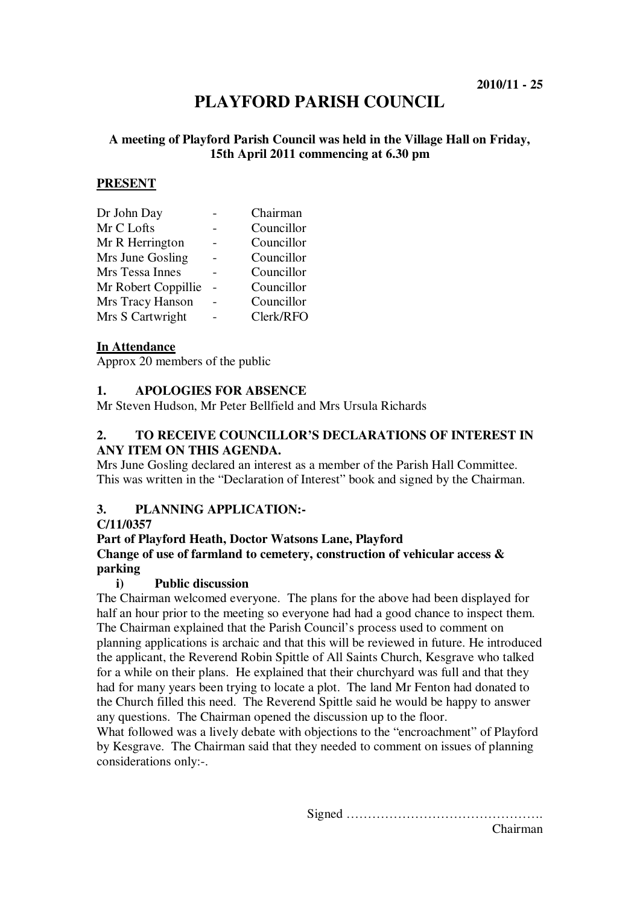# **PLAYFORD PARISH COUNCIL**

# **A meeting of Playford Parish Council was held in the Village Hall on Friday, 15th April 2011 commencing at 6.30 pm**

# **PRESENT**

| Chairman   |
|------------|
| Councillor |
| Councillor |
| Councillor |
| Councillor |
| Councillor |
| Councillor |
| Clerk/RFO  |
|            |

#### **In Attendance**

Approx 20 members of the public

# **1. APOLOGIES FOR ABSENCE**

Mr Steven Hudson, Mr Peter Bellfield and Mrs Ursula Richards

# **2. TO RECEIVE COUNCILLOR'S DECLARATIONS OF INTEREST IN ANY ITEM ON THIS AGENDA.**

Mrs June Gosling declared an interest as a member of the Parish Hall Committee. This was written in the "Declaration of Interest" book and signed by the Chairman.

# **3. PLANNING APPLICATION:-**

#### **C/11/0357**

#### **Part of Playford Heath, Doctor Watsons Lane, Playford**

# **Change of use of farmland to cemetery, construction of vehicular access & parking**

#### **i) Public discussion**

The Chairman welcomed everyone. The plans for the above had been displayed for half an hour prior to the meeting so everyone had had a good chance to inspect them. The Chairman explained that the Parish Council's process used to comment on planning applications is archaic and that this will be reviewed in future. He introduced the applicant, the Reverend Robin Spittle of All Saints Church, Kesgrave who talked for a while on their plans. He explained that their churchyard was full and that they had for many years been trying to locate a plot. The land Mr Fenton had donated to the Church filled this need. The Reverend Spittle said he would be happy to answer any questions. The Chairman opened the discussion up to the floor.

What followed was a lively debate with objections to the "encroachment" of Playford by Kesgrave. The Chairman said that they needed to comment on issues of planning considerations only:-.

Signed ……………………………………….